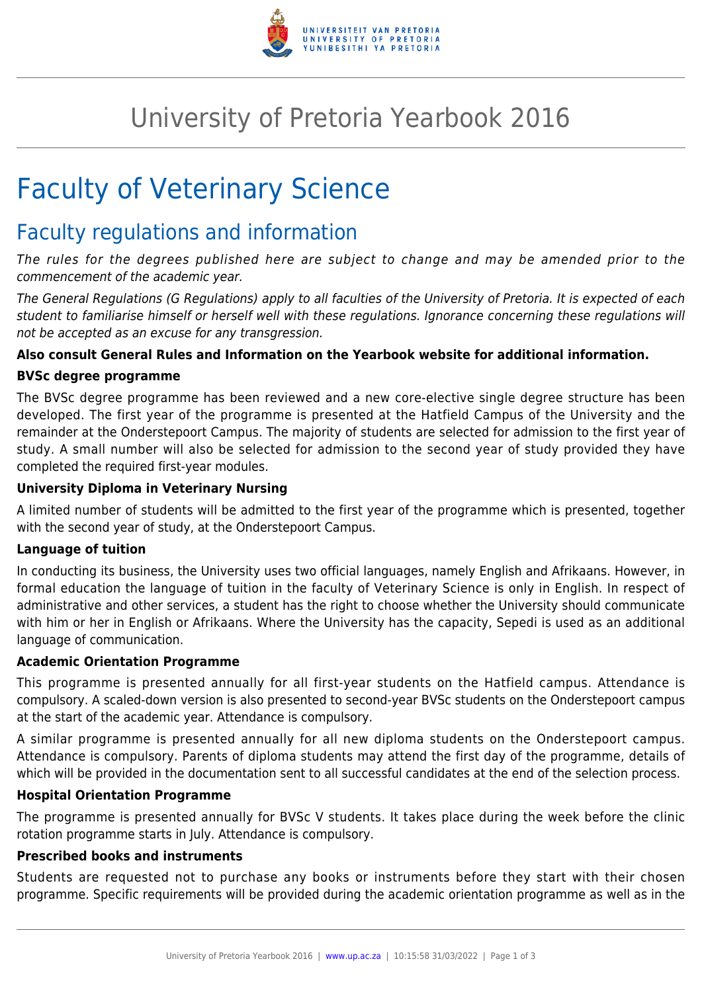

## University of Pretoria Yearbook 2016

# Faculty of Veterinary Science

### Faculty regulations and information

The rules for the degrees published here are subject to change and may be amended prior to the commencement of the academic year.

The General Regulations (G Regulations) apply to all faculties of the University of Pretoria. It is expected of each student to familiarise himself or herself well with these regulations. Ignorance concerning these regulations will not be accepted as an excuse for any transgression.

### **Also consult General Rules and Information on the Yearbook website for additional information.**

#### **BVSc degree programme**

The BVSc degree programme has been reviewed and a new core-elective single degree structure has been developed. The first year of the programme is presented at the Hatfield Campus of the University and the remainder at the Onderstepoort Campus. The majority of students are selected for admission to the first year of study. A small number will also be selected for admission to the second year of study provided they have completed the required first-year modules.

#### **University Diploma in Veterinary Nursing**

A limited number of students will be admitted to the first year of the programme which is presented, together with the second year of study, at the Onderstepoort Campus.

#### **Language of tuition**

In conducting its business, the University uses two official languages, namely English and Afrikaans. However, in formal education the language of tuition in the faculty of Veterinary Science is only in English. In respect of administrative and other services, a student has the right to choose whether the University should communicate with him or her in English or Afrikaans. Where the University has the capacity, Sepedi is used as an additional language of communication.

#### **Academic Orientation Programme**

This programme is presented annually for all first-year students on the Hatfield campus. Attendance is compulsory. A scaled-down version is also presented to second-year BVSc students on the Onderstepoort campus at the start of the academic year. Attendance is compulsory.

A similar programme is presented annually for all new diploma students on the Onderstepoort campus. Attendance is compulsory. Parents of diploma students may attend the first day of the programme, details of which will be provided in the documentation sent to all successful candidates at the end of the selection process.

#### **Hospital Orientation Programme**

The programme is presented annually for BVSc V students. It takes place during the week before the clinic rotation programme starts in July. Attendance is compulsory.

#### **Prescribed books and instruments**

Students are requested not to purchase any books or instruments before they start with their chosen programme. Specific requirements will be provided during the academic orientation programme as well as in the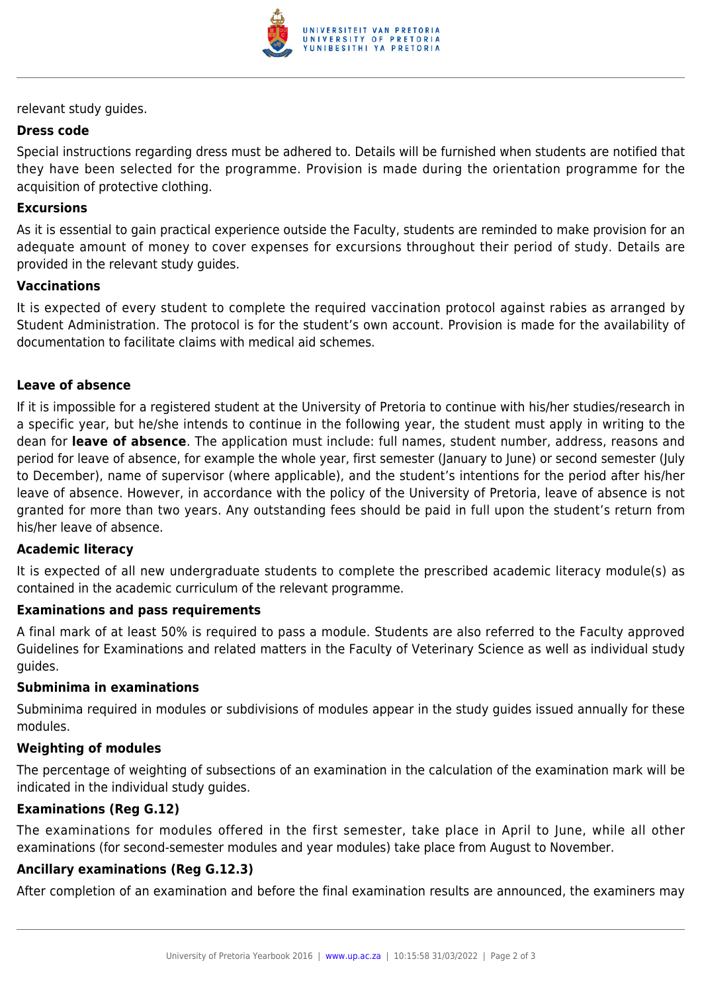

relevant study guides.

#### **Dress code**

Special instructions regarding dress must be adhered to. Details will be furnished when students are notified that they have been selected for the programme. Provision is made during the orientation programme for the acquisition of protective clothing.

#### **Excursions**

As it is essential to gain practical experience outside the Faculty, students are reminded to make provision for an adequate amount of money to cover expenses for excursions throughout their period of study. Details are provided in the relevant study guides.

#### **Vaccinations**

It is expected of every student to complete the required vaccination protocol against rabies as arranged by Student Administration. The protocol is for the student's own account. Provision is made for the availability of documentation to facilitate claims with medical aid schemes.

#### **Leave of absence**

If it is impossible for a registered student at the University of Pretoria to continue with his/her studies/research in a specific year, but he/she intends to continue in the following year, the student must apply in writing to the dean for **leave of absence**. The application must include: full names, student number, address, reasons and period for leave of absence, for example the whole year, first semester (January to June) or second semester (July to December), name of supervisor (where applicable), and the student's intentions for the period after his/her leave of absence. However, in accordance with the policy of the University of Pretoria, leave of absence is not granted for more than two years. Any outstanding fees should be paid in full upon the student's return from his/her leave of absence.

#### **Academic literacy**

It is expected of all new undergraduate students to complete the prescribed academic literacy module(s) as contained in the academic curriculum of the relevant programme.

#### **Examinations and pass requirements**

A final mark of at least 50% is required to pass a module. Students are also referred to the Faculty approved Guidelines for Examinations and related matters in the Faculty of Veterinary Science as well as individual study guides.

#### **Subminima in examinations**

Subminima required in modules or subdivisions of modules appear in the study guides issued annually for these modules.

#### **Weighting of modules**

The percentage of weighting of subsections of an examination in the calculation of the examination mark will be indicated in the individual study guides.

#### **Examinations (Reg G.12)**

The examinations for modules offered in the first semester, take place in April to June, while all other examinations (for second-semester modules and year modules) take place from August to November.

#### **Ancillary examinations (Reg G.12.3)**

After completion of an examination and before the final examination results are announced, the examiners may